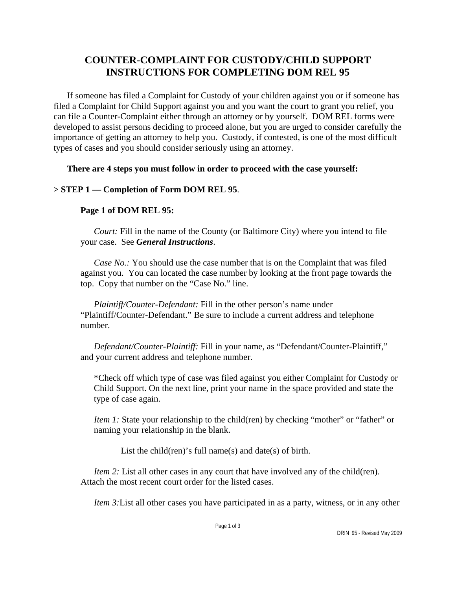# **COUNTER-COMPLAINT FOR CUSTODY/CHILD SUPPORT INSTRUCTIONS FOR COMPLETING DOM REL 95**

If someone has filed a Complaint for Custody of your children against you or if someone has filed a Complaint for Child Support against you and you want the court to grant you relief, you can file a Counter-Complaint either through an attorney or by yourself. DOM REL forms were developed to assist persons deciding to proceed alone, but you are urged to consider carefully the importance of getting an attorney to help you. Custody, if contested, is one of the most difficult types of cases and you should consider seriously using an attorney.

**There are 4 steps you must follow in order to proceed with the case yourself:**

## **> STEP 1 — Completion of Form DOM REL 95**.

## **Page 1 of DOM REL 95:**

*Court:* Fill in the name of the County (or Baltimore City) where you intend to file your case. See *General Instructions*.

*Case No.:* You should use the case number that is on the Complaint that was filed against you. You can located the case number by looking at the front page towards the top. Copy that number on the "Case No." line.

*Plaintiff/Counter-Defendant:* Fill in the other person's name under "Plaintiff/Counter-Defendant." Be sure to include a current address and telephone number.

*Defendant/Counter-Plaintiff:* Fill in your name, as "Defendant/Counter-Plaintiff," and your current address and telephone number.

\*Check off which type of case was filed against you either Complaint for Custody or Child Support. On the next line, print your name in the space provided and state the type of case again.

*Item 1:* State your relationship to the child(ren) by checking "mother" or "father" or naming your relationship in the blank.

List the child(ren)'s full name(s) and date(s) of birth.

*Item 2:* List all other cases in any court that have involved any of the child(ren). Attach the most recent court order for the listed cases.

*Item 3:*List all other cases you have participated in as a party, witness, or in any other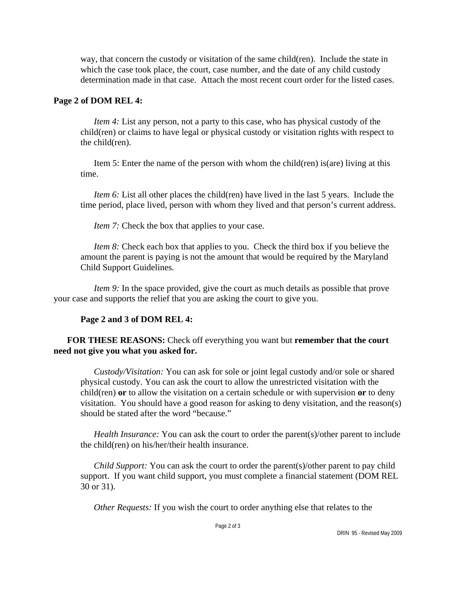way, that concern the custody or visitation of the same child(ren). Include the state in which the case took place, the court, case number, and the date of any child custody determination made in that case. Attach the most recent court order for the listed cases.

#### **Page 2 of DOM REL 4:**

*Item 4:* List any person, not a party to this case, who has physical custody of the child(ren) or claims to have legal or physical custody or visitation rights with respect to the child(ren).

Item 5: Enter the name of the person with whom the child(ren) is(are) living at this time.

*Item 6:* List all other places the child(ren) have lived in the last 5 years. Include the time period, place lived, person with whom they lived and that person's current address.

*Item 7:* Check the box that applies to your case.

*Item 8:* Check each box that applies to you. Check the third box if you believe the amount the parent is paying is not the amount that would be required by the Maryland Child Support Guidelines*.*

*Item 9:* In the space provided, give the court as much details as possible that prove your case and supports the relief that you are asking the court to give you.

#### **Page 2 and 3 of DOM REL 4:**

#### **FOR THESE REASONS:** Check off everything you want but **remember that the court need not give you what you asked for.**

*Custody/Visitation:* You can ask for sole or joint legal custody and/or sole or shared physical custody. You can ask the court to allow the unrestricted visitation with the child(ren) **or** to allow the visitation on a certain schedule or with supervision **or** to deny visitation. You should have a good reason for asking to deny visitation, and the reason(s) should be stated after the word "because."

*Health Insurance:* You can ask the court to order the parent(s)/other parent to include the child(ren) on his/her/their health insurance.

*Child Support:* You can ask the court to order the parent(s)/other parent to pay child support. If you want child support, you must complete a financial statement (DOM REL 30 or 31).

*Other Requests:* If you wish the court to order anything else that relates to the